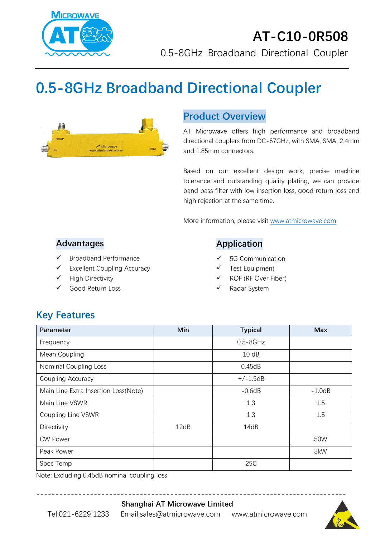

## **AT-C10-0R508** 0.5-8GHz Broadband Directional Coupler

# **0.5-8GHz Broadband Directional Coupler**



## **Product Overview**

AT Microwave offers high performance and broadband directional couplers from DC-67GHz, with SMA, SMA, 2,4mm and 1.85mm connectors.

Based on our excellent design work, precise machine tolerance and outstanding quality plating, we can provide band pass filter with low insertion loss, good return loss and high rejection at the same time.

More information, please visit [www.atmicrowave.com](http://www.atmicrowave.com/)

#### **Advantages**

- ✓ Broadband Performance
- ✓ Excellent Coupling Accuracy
- ✓ High Directivity
- Good Return Loss

#### **Application**

- 5G Communication
- Test Equipment
- ROF (RF Over Fiber)
- Radar System

## **Key Features**

| Parameter                            | Min  | <b>Typical</b> | <b>Max</b> |
|--------------------------------------|------|----------------|------------|
| Frequency                            |      | $0.5 - 8$ GHz  |            |
| Mean Coupling                        |      | 10dB           |            |
| <b>Nominal Coupling Loss</b>         |      | 0.45dB         |            |
| Coupling Accuracy                    |      | $+/-1.5dB$     |            |
| Main Line Extra Insertion Loss(Note) |      | $-0.6dB$       | $-1.0dB$   |
| Main Line VSWR                       |      | 1.3            | 1.5        |
| Coupling Line VSWR                   |      | 1.3            | 1.5        |
| Directivity                          | 12dB | 14dB           |            |
| <b>CW Power</b>                      |      |                | 50W        |
| Peak Power                           |      |                | 3kW        |
| Spec Temp                            |      | 25C            |            |

Note: Excluding 0.45dB nominal coupling loss